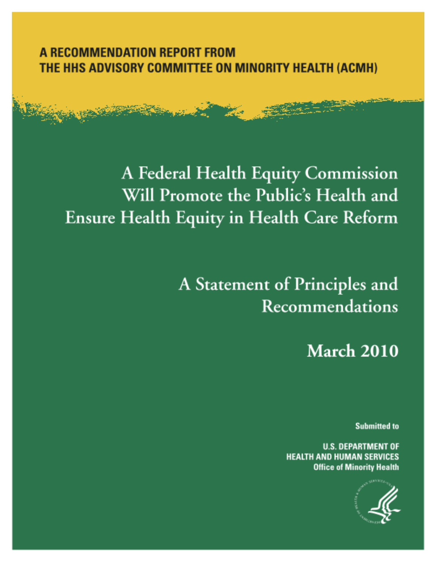## A RECOMMENDATION REPORT FROM THE HHS ADVISORY COMMITTEE ON MINORITY HEALTH (ACMH)

# A Federal Health Equity Commission Will Promote the Public's Health and Ensure Health Equity in Health Care Reform

A Statement of Principles and Recommendations

**March 2010** 

**Submitted to** 

**U.S. DEPARTMENT OF HEALTH AND HUMAN SERVICES Office of Minority Health** 

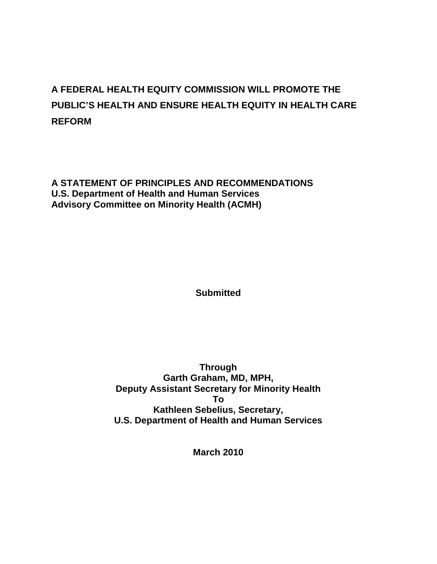## **A FEDERAL HEALTH EQUITY COMMISSION WILL PROMOTE THE PUBLIC'S HEALTH AND ENSURE HEALTH EQUITY IN HEALTH CARE REFORM**

## **A STATEMENT OF PRINCIPLES AND RECOMMENDATIONS U.S. Department of Health and Human Services Advisory Committee on Minority Health (ACMH)**

**Submitted** 

**Through Garth Graham, MD, MPH, Deputy Assistant Secretary for Minority Health To Kathleen Sebelius, Secretary, U.S. Department of Health and Human Services** 

**March 2010**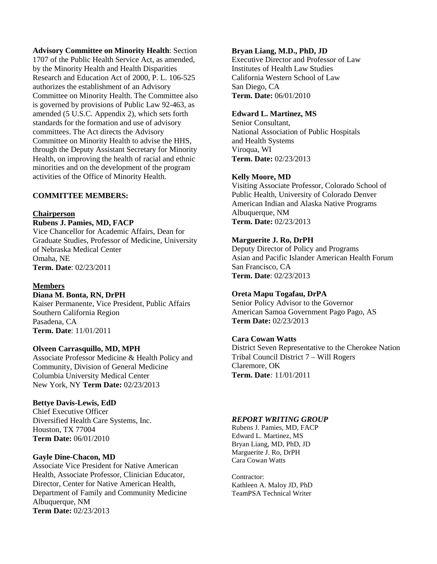**Advisory Committee on Minority Health**: Section 1707 of the Public Health Service Act, as amended, by the Minority Health and Health Disparities Research and Education Act of 2000, P. L. 106-525 authorizes the establishment of an Advisory Committee on Minority Health. The Committee also is governed by provisions of Public Law 92-463, as amended (5 U.S.C. Appendix 2), which sets forth standards for the formation and use of advisory committees. The Act directs the Advisory Committee on Minority Health to advise the HHS, through the Deputy Assistant Secretary for Minority Health, on improving the health of racial and ethnic minorities and on the development of the program activities of the Office of Minority Health.

### **COMMITTEE MEMBERS:**

### **Chairperson**

**Rubens J. Pamies, MD, FACP** 

Vice Chancellor for Academic Affairs, Dean for Graduate Studies, Professor of Medicine, University of Nebraska Medical Center Omaha, NE **Term. Date**: 02/23/2011

### **Members**

**Diana M. Bonta, RN, DrPH** 

Kaiser Permanente, Vice President, Public Affairs Southern California Region Pasadena, CA **Term. Date**: 11/01/2011

### **Olveen Carrasquillo, MD, MPH**

Associate Professor Medicine & Health Policy and Community, Division of General Medicine Columbia University Medical Center New York, NY **Term Date:** 02/23/2013

### **Bettye Davis-Lewis, EdD**

Chief Executive Officer Diversified Health Care Systems, Inc. Houston, TX 77004 **Term Date:** 06/01/2010

### **Gayle Dine-Chacon, MD**

Associate Vice President for Native American Health, Associate Professor, Clinician Educator, Director, Center for Native American Health, Department of Family and Community Medicine Albuquerque, NM **Term Date:** 02/23/2013

### **Bryan Liang, M.D., PhD, JD**

Executive Director and Professor of Law Institutes of Health Law Studies California Western School of Law San Diego, CA **Term. Date:** 06/01/2010

### **Edward L. Martinez, MS**

Senior Consultant, National Association of Public Hospitals and Health Systems Viroqua, WI **Term. Date:** 02/23/2013

### **Kelly Moore, MD**

Visiting Associate Professor, Colorado School of Public Health, University of Colorado Denver American Indian and Alaska Native Programs Albuquerque, NM **Term. Date:** 02/23/2013

### **Marguerite J. Ro, DrPH**

Deputy Director of Policy and Programs Asian and Pacific Islander American Health Forum San Francisco, CA **Term. Date**: 02/23/2013

### **Oreta Mapu Togafau, DrPA**

Senior Policy Advisor to the Governor American Samoa Government Pago Pago, AS **Term Date:** 02/23/2013

### **Cara Cowan Watts**

District Seven Representative to the Cherokee Nation Tribal Council District 7 – Will Rogers Claremore, OK **Term. Date***:* 11/01/2011

### *REPORT WRITING GROUP*

Rubens J. Pamies, MD, FACP Edward L. Martinez, MS Bryan Liang, MD, PhD, JD Marguerite J. Ro, DrPH Cara Cowan Watts

Contractor: Kathleen A. Maloy JD, PhD TeamPSA Technical Writer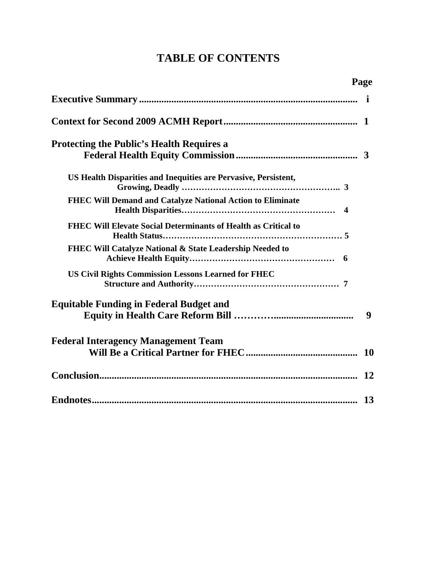## **TABLE OF CONTENTS**

|                                                                     | Page      |
|---------------------------------------------------------------------|-----------|
|                                                                     |           |
|                                                                     |           |
| <b>Protecting the Public's Health Requires a</b>                    |           |
|                                                                     |           |
| US Health Disparities and Inequities are Pervasive, Persistent,     |           |
| FHEC Will Demand and Catalyze National Action to Eliminate          |           |
| FHEC Will Elevate Social Determinants of Health as Critical to      |           |
| <b>FHEC Will Catalyze National &amp; State Leadership Needed to</b> |           |
| <b>US Civil Rights Commission Lessons Learned for FHEC</b>          |           |
| <b>Equitable Funding in Federal Budget and</b>                      | 9         |
| <b>Federal Interagency Management Team</b>                          |           |
|                                                                     |           |
|                                                                     | <b>13</b> |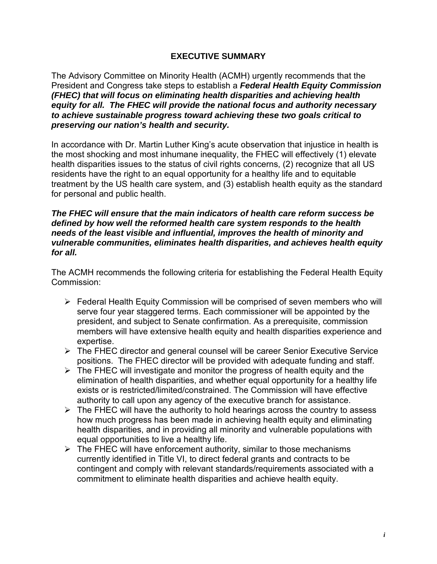## **EXECUTIVE SUMMARY**

<span id="page-4-0"></span>The Advisory Committee on Minority Health (ACMH) urgently recommends that the President and Congress take steps to establish a *Federal Health Equity Commission (FHEC) that will focus on eliminating health disparities and achieving health equity for all. The FHEC will provide the national focus and authority necessary to achieve sustainable progress toward achieving these two goals critical to preserving our nation's health and security.* 

In accordance with Dr. Martin Luther King's acute observation that injustice in health is the most shocking and most inhumane inequality, the FHEC will effectively (1) elevate health disparities issues to the status of civil rights concerns, (2) recognize that all US residents have the right to an equal opportunity for a healthy life and to equitable treatment by the US health care system, and (3) establish health equity as the standard for personal and public health.

### *The FHEC will ensure that the main indicators of health care reform success be defined by how well the reformed health care system responds to the health needs of the least visible and influential, improves the health of minority and vulnerable communities, eliminates health disparities, and achieves health equity for all.*

The ACMH recommends the following criteria for establishing the Federal Health Equity Commission:

- $\triangleright$  Federal Health Equity Commission will be comprised of seven members who will serve four year staggered terms. Each commissioner will be appointed by the president, and subject to Senate confirmation. As a prerequisite, commission members will have extensive health equity and health disparities experience and expertise.
- The FHEC director and general counsel will be career Senior Executive Service positions. The FHEC director will be provided with adequate funding and staff.
- $\triangleright$  The FHEC will investigate and monitor the progress of health equity and the elimination of health disparities, and whether equal opportunity for a healthy life exists or is restricted/limited/constrained. The Commission will have effective authority to call upon any agency of the executive branch for assistance.
- $\triangleright$  The FHEC will have the authority to hold hearings across the country to assess how much progress has been made in achieving health equity and eliminating health disparities, and in providing all minority and vulnerable populations with equal opportunities to live a healthy life.
- $\triangleright$  The FHEC will have enforcement authority, similar to those mechanisms currently identified in Title VI, to direct federal grants and contracts to be contingent and comply with relevant standards/requirements associated with a commitment to eliminate health disparities and achieve health equity.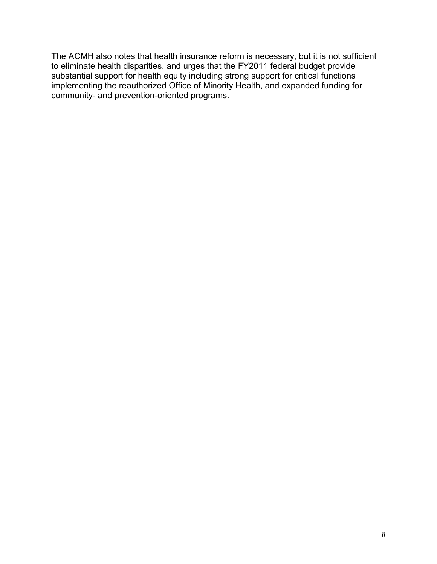The ACMH also notes that health insurance reform is necessary, but it is not sufficient to eliminate health disparities, and urges that the FY2011 federal budget provide substantial support for health equity including strong support for critical functions implementing the reauthorized Office of Minority Health, and expanded funding for community- and prevention-oriented programs.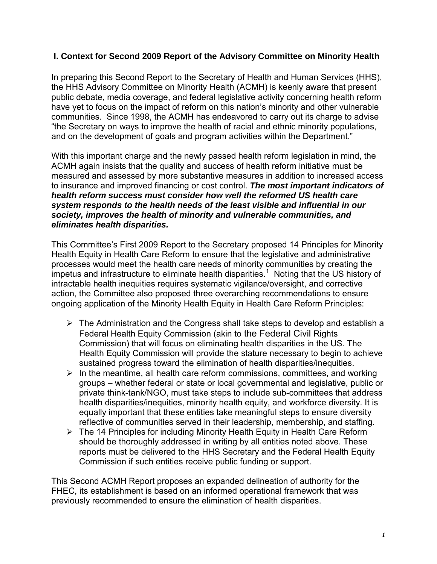## <span id="page-6-0"></span>**I. Context for Second 2009 Report of the Advisory Committee on Minority Health**

In preparing this Second Report to the Secretary of Health and Human Services (HHS), the HHS Advisory Committee on Minority Health (ACMH) is keenly aware that present public debate, media coverage, and federal legislative activity concerning health reform have yet to focus on the impact of reform on this nation's minority and other vulnerable communities. Since 1998, the ACMH has endeavored to carry out its charge to advise "the Secretary on ways to improve the health of racial and ethnic minority populations, and on the development of goals and program activities within the Department."

With this important charge and the newly passed health reform legislation in mind, the ACMH again insists that the quality and success of health reform initiative must be measured and assessed by more substantive measures in addition to increased access to insurance and improved financing or cost control. *The most important indicators of health reform success must consider how well the reformed US health care system responds to the health needs of the least visible and influential in our society, improves the health of minority and vulnerable communities, and eliminates health disparities.*

This Committee's First 2009 Report to the Secretary proposed 14 Principles for Minority Health Equity in Health Care Reform to ensure that the legislative and administrative processes would meet the health care needs of minority communities by creating the impetus and infrastructure to eliminate health disparities.<sup>[1](#page-18-1)</sup> Noting that the US history of intractable health inequities requires systematic vigilance/oversight, and corrective action, the Committee also proposed three overarching recommendations to ensure ongoing application of the Minority Health Equity in Health Care Reform Principles:

- $\triangleright$  The Administration and the Congress shall take steps to develop and establish a Federal Health Equity Commission (akin to the Federal Civil Rights Commission) that will focus on eliminating health disparities in the US. The Health Equity Commission will provide the stature necessary to begin to achieve sustained progress toward the elimination of health disparities/inequities.
- $\triangleright$  In the meantime, all health care reform commissions, committees, and working groups – whether federal or state or local governmental and legislative, public or private think-tank/NGO, must take steps to include sub-committees that address health disparities/inequities, minority health equity, and workforce diversity. It is equally important that these entities take meaningful steps to ensure diversity reflective of communities served in their leadership, membership, and staffing.
- The 14 Principles for including Minority Health Equity in Health Care Reform should be thoroughly addressed in writing by all entities noted above. These reports must be delivered to the HHS Secretary and the Federal Health Equity Commission if such entities receive public funding or support.

This Second ACMH Report proposes an expanded delineation of authority for the FHEC, its establishment is based on an informed operational framework that was previously recommended to ensure the elimination of health disparities.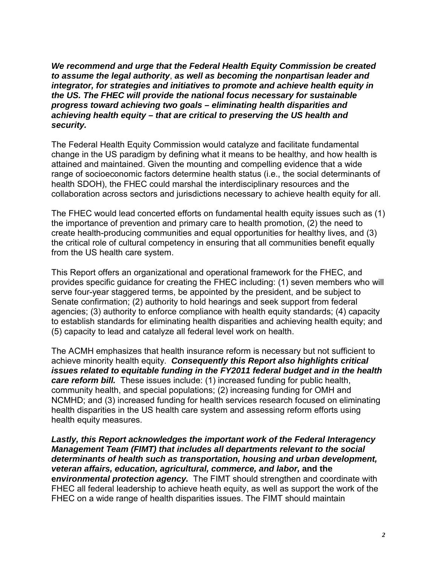*We recommend and urge that the Federal Health Equity Commission be created to assume the legal authority*, *as well as becoming the nonpartisan leader and integrator, for strategies and initiatives to promote and achieve health equity in the US. The FHEC will provide the national focus necessary for sustainable progress toward achieving two goals – eliminating health disparities and achieving health equity – that are critical to preserving the US health and security.* 

The Federal Health Equity Commission would catalyze and facilitate fundamental change in the US paradigm by defining what it means to be healthy, and how health is attained and maintained. Given the mounting and compelling evidence that a wide range of socioeconomic factors determine health status (i.e., the social determinants of health SDOH), the FHEC could marshal the interdisciplinary resources and the collaboration across sectors and jurisdictions necessary to achieve health equity for all.

The FHEC would lead concerted efforts on fundamental health equity issues such as (1) the importance of prevention and primary care to health promotion, (2) the need to create health-producing communities and equal opportunities for healthy lives, and (3) the critical role of cultural competency in ensuring that all communities benefit equally from the US health care system.

This Report offers an organizational and operational framework for the FHEC, and provides specific guidance for creating the FHEC including: (1) seven members who will serve four-year staggered terms, be appointed by the president, and be subject to Senate confirmation; (2) authority to hold hearings and seek support from federal agencies; (3) authority to enforce compliance with health equity standards; (4) capacity to establish standards for eliminating health disparities and achieving health equity; and (5) capacity to lead and catalyze all federal level work on health.

The ACMH emphasizes that health insurance reform is necessary but not sufficient to achieve minority health equity. *Consequently this Report also highlights critical issues related to equitable funding in the FY2011 federal budget and in the health care reform bill.* These issues include: (1) increased funding for public health, community health, and special populations; (2) increasing funding for OMH and NCMHD; and (3) increased funding for health services research focused on eliminating health disparities in the US health care system and assessing reform efforts using health equity measures.

*Lastly, this Report acknowledges the important work of the Federal Interagency Management Team (FIMT) that includes all departments relevant to the social determinants of health such as transportation, housing and urban development, veteran affairs, education, agricultural, commerce, and labor,* **and the e***nvironmental protection agency.* The FIMT should strengthen and coordinate with FHEC all federal leadership to achieve heath equity, as well as support the work of the FHEC on a wide range of health disparities issues. The FIMT should maintain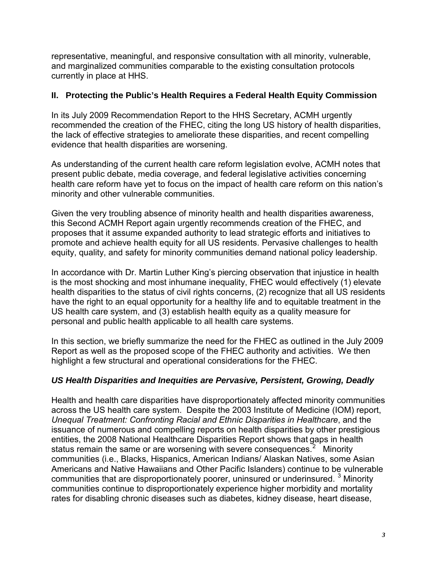<span id="page-8-0"></span>representative, meaningful, and responsive consultation with all minority, vulnerable, and marginalized communities comparable to the existing consultation protocols currently in place at HHS.

## **II. Protecting the Public's Health Requires a Federal Health Equity Commission**

In its July 2009 Recommendation Report to the HHS Secretary, ACMH urgently recommended the creation of the FHEC, citing the long US history of health disparities, the lack of effective strategies to ameliorate these disparities, and recent compelling evidence that health disparities are worsening.

As understanding of the current health care reform legislation evolve, ACMH notes that present public debate, media coverage, and federal legislative activities concerning health care reform have yet to focus on the impact of health care reform on this nation's minority and other vulnerable communities.

Given the very troubling absence of minority health and health disparities awareness, this Second ACMH Report again urgently recommends creation of the FHEC, and proposes that it assume expanded authority to lead strategic efforts and initiatives to promote and achieve health equity for all US residents. Pervasive challenges to health equity, quality, and safety for minority communities demand national policy leadership.

In accordance with Dr. Martin Luther King's piercing observation that injustice in health is the most shocking and most inhumane inequality, FHEC would effectively (1) elevate health disparities to the status of civil rights concerns, (2) recognize that all US residents have the right to an equal opportunity for a healthy life and to equitable treatment in the US health care system, and (3) establish health equity as a quality measure for personal and public health applicable to all health care systems.

In this section, we briefly summarize the need for the FHEC as outlined in the July 2009 Report as well as the proposed scope of the FHEC authority and activities. We then highlight a few structural and operational considerations for the FHEC.

## *US Health Disparities and Inequities are Pervasive, Persistent, Growing, Deadly*

Health and health care disparities have disproportionately affected minority communities across the US health care system. Despite the 2003 Institute of Medicine (IOM) report, *Unequal Treatment: Confronting Racial and Ethnic Disparities in Healthcare*, and the issuance of numerous and compelling reports on health disparities by other prestigious entities, the 2008 National Healthcare Disparities Report shows that gaps in health status remain the same or are worsening with severe consequences.<sup>[2](#page-18-2)</sup> Minority communities (i.e., Blacks, Hispanics, American Indians/ Alaskan Natives, some Asian Americans and Native Hawaiians and Other Pacific Islanders) continue to be vulnerable communities that are disproportionately poorer, uninsured or underinsured. <sup>[3](#page-18-3)</sup> Minority communities continue to disproportionately experience higher morbidity and mortality rates for disabling chronic diseases such as diabetes, kidney disease, heart disease,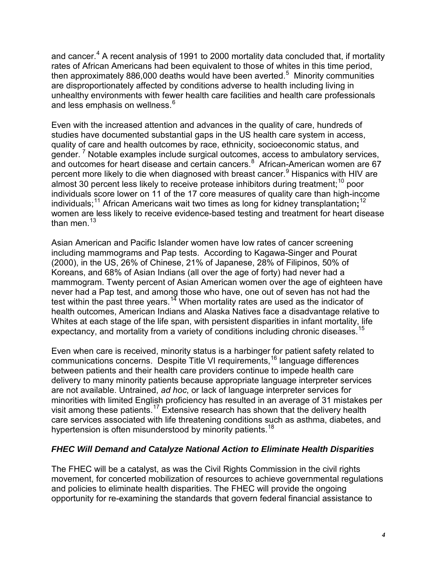<span id="page-9-0"></span>and cancer.<sup>[4](#page-18-4)</sup> A recent analysis of 1991 to 2000 mortality data concluded that, if mortality rates of African Americans had been equivalent to those of whites in this time period, then approximately 886,000 deaths would have been averted.<sup>[5](#page-19-0)</sup> Minority communities are disproportionately affected by conditions adverse to health including living in unhealthy environments with fewer health care facilities and health care professionals and less emphasis on wellness.<sup>[6](#page-19-1)</sup>

Even with the increased attention and advances in the quality of care, hundreds of studies have documented substantial gaps in the US health care system in access, quality of care and health outcomes by race, ethnicity, socioeconomic status, and gender. [7](#page-19-2) Notable examples include surgical outcomes, access to ambulatory services, and outcomes for heart disease and certain cancers.<sup>[8](#page-19-3)</sup> African-American women are 67 percent more likely to die when diagnosed with breast cancer.<sup>[9](#page-19-4)</sup> Hispanics with HIV are almost 30 percent less likely to receive protease inhibitors during treatment;<sup>[10](#page-19-5)</sup> poor individuals score lower on 11 of the 17 core measures of quality care than high-income individuals; [11](#page-19-6) African Americans wait two times as long for kidney transplantation**;** [12](#page-19-7) women are less likely to receive evidence-based testing and treatment for heart disease than men. $13$ 

Asian American and Pacific Islander women have low rates of cancer screening including mammograms and Pap tests. According to Kagawa-Singer and Pourat (2000), in the US, 26% of Chinese, 21% of Japanese, 28% of Filipinos, 50% of Koreans, and 68% of Asian Indians (all over the age of forty) had never had a mammogram. Twenty percent of Asian American women over the age of eighteen have never had a Pap test, and among those who have, one out of seven has not had the test within the past three years.<sup>[14](#page-19-9)</sup> When mortality rates are used as the indicator of health outcomes, American Indians and Alaska Natives face a disadvantage relative to Whites at each stage of the life span, with persistent disparities in infant mortality, life expectancy, and mortality from a variety of conditions including chronic diseases.<sup>15</sup>

Even when care is received, minority status is a harbinger for patient safety related to communications concerns. Despite Title VI requirements,[16](#page-19-11) language differences between patients and their health care providers continue to impede health care delivery to many minority patients because appropriate language interpreter services are not available. Untrained, *ad hoc*, or lack of language interpreter services for minorities with limited English proficiency has resulted in an average of 31 mistakes per visit among these patients.[17](#page-20-0) Extensive research has shown that the delivery health care services associated with life threatening conditions such as asthma, diabetes, and hypertension is often misunderstood by minority patients.<sup>[18](#page-20-1)</sup>

## *FHEC Will Demand and Catalyze National Action to Eliminate Health Disparities*

The FHEC will be a catalyst, as was the Civil Rights Commission in the civil rights movement, for concerted mobilization of resources to achieve governmental regulations and policies to eliminate health disparities. The FHEC will provide the ongoing opportunity for re-examining the standards that govern federal financial assistance to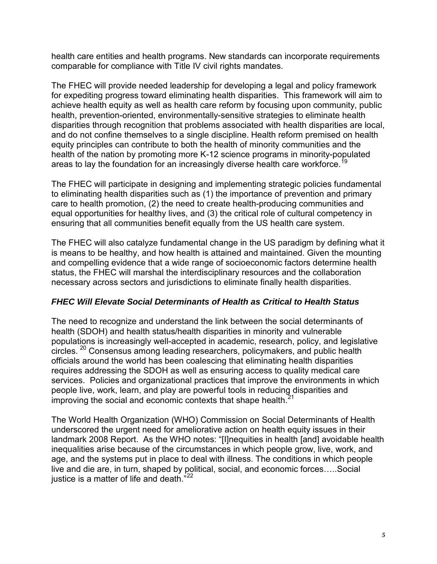<span id="page-10-0"></span>health care entities and health programs. New standards can incorporate requirements comparable for compliance with Title IV civil rights mandates.

The FHEC will provide needed leadership for developing a legal and policy framework for expediting progress toward eliminating health disparities. This framework will aim to achieve health equity as well as health care reform by focusing upon community, public health, prevention-oriented, environmentally-sensitive strategies to eliminate health disparities through recognition that problems associated with health disparities are local, and do not confine themselves to a single discipline. Health reform premised on health equity principles can contribute to both the health of minority communities and the health of the nation by promoting more K-12 science programs in minority-populated areas to lay the foundation for an increasingly diverse health care workforce.<sup>19</sup>

The FHEC will participate in designing and implementing strategic policies fundamental to eliminating health disparities such as (1) the importance of prevention and primary care to health promotion, (2) the need to create health-producing communities and equal opportunities for healthy lives, and (3) the critical role of cultural competency in ensuring that all communities benefit equally from the US health care system.

The FHEC will also catalyze fundamental change in the US paradigm by defining what it is means to be healthy, and how health is attained and maintained. Given the mounting and compelling evidence that a wide range of socioeconomic factors determine health status, the FHEC will marshal the interdisciplinary resources and the collaboration necessary across sectors and jurisdictions to eliminate finally health disparities.

## *FHEC Will Elevate Social Determinants of Health as Critical to Health Status*

The need to recognize and understand the link between the social determinants of health (SDOH) and health status/health disparities in minority and vulnerable populations is increasingly well-accepted in academic, research, policy, and legislative circles. <sup>[20](#page-20-3)</sup> Consensus among leading researchers, policymakers, and public health officials around the world has been coalescing that eliminating health disparities requires addressing the SDOH as well as ensuring access to quality medical care services. Policies and organizational practices that improve the environments in which people live, work, learn, and play are powerful tools in reducing disparities and improving the social and economic contexts that shape health.<sup>[21](#page-20-4)</sup>

The World Health Organization (WHO) Commission on Social Determinants of Health underscored the urgent need for ameliorative action on health equity issues in their landmark 2008 Report. As the WHO notes: "[I]nequities in health [and] avoidable health inequalities arise because of the circumstances in which people grow, live, work, and age, and the systems put in place to deal with illness. The conditions in which people live and die are, in turn, shaped by political, social, and economic forces…..Social justice is a matter of life and death."<sup>[22](#page-20-5)</sup>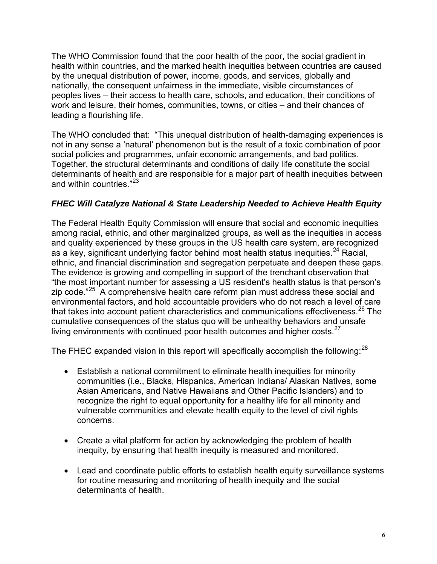<span id="page-11-0"></span>The WHO Commission found that the poor health of the poor, the social gradient in health within countries, and the marked health inequities between countries are caused by the unequal distribution of power, income, goods, and services, globally and nationally, the consequent unfairness in the immediate, visible circumstances of peoples lives – their access to health care, schools, and education, their conditions of work and leisure, their homes, communities, towns, or cities – and their chances of leading a flourishing life.

The WHO concluded that: "This unequal distribution of health-damaging experiences is not in any sense a 'natural' phenomenon but is the result of a toxic combination of poor social policies and programmes, unfair economic arrangements, and bad politics. Together, the structural determinants and conditions of daily life constitute the social determinants of health and are responsible for a major part of health inequities between and within countries."<sup>[23](#page-20-6)</sup>

## *FHEC Will Catalyze National & State Leadership Needed to Achieve Health Equity*

The Federal Health Equity Commission will ensure that social and economic inequities among racial, ethnic, and other marginalized groups, as well as the inequities in access and quality experienced by these groups in the US health care system, are recognized as a key, significant underlying factor behind most health status inequities.<sup>[24](#page-20-7)</sup> Racial, ethnic, and financial discrimination and segregation perpetuate and deepen these gaps. The evidence is growing and compelling in support of the trenchant observation that "the most important number for assessing a US resident's health status is that person's zip code."<sup>[25](#page-20-8)</sup> A comprehensive health care reform plan must address these social and environmental factors, and hold accountable providers who do not reach a level of care that takes into account patient characteristics and communications effectiveness.<sup>[26](#page-20-9)</sup> The cumulative consequences of the status quo will be unhealthy behaviors and unsafe living environments with continued poor health outcomes and higher costs. $27$ 

The FHEC expanded vision in this report will specifically accomplish the following: $^{28}$ 

- Establish a national commitment to eliminate health inequities for minority communities (i.e., Blacks, Hispanics, American Indians/ Alaskan Natives, some Asian Americans, and Native Hawaiians and Other Pacific Islanders) and to recognize the right to equal opportunity for a healthy life for all minority and vulnerable communities and elevate health equity to the level of civil rights concerns.
- Create a vital platform for action by acknowledging the problem of health inequity, by ensuring that health inequity is measured and monitored.
- Lead and coordinate public efforts to establish health equity surveillance systems for routine measuring and monitoring of health inequity and the social determinants of health.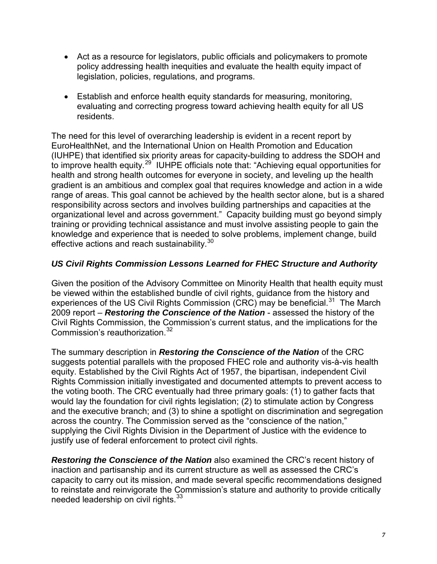- <span id="page-12-0"></span>• Act as a resource for legislators, public officials and policymakers to promote policy addressing health inequities and evaluate the health equity impact of legislation, policies, regulations, and programs.
- Establish and enforce health equity standards for measuring, monitoring, evaluating and correcting progress toward achieving health equity for all US residents.

The need for this level of overarching leadership is evident in a recent report by EuroHealthNet, and the International Union on Health Promotion and Education (IUHPE) that identified six priority areas for capacity-building to address the SDOH and to improve health equity.<sup>[29](#page-21-1)</sup> IUHPE officials note that: "Achieving equal opportunities for health and strong health outcomes for everyone in society, and leveling up the health gradient is an ambitious and complex goal that requires knowledge and action in a wide range of areas. This goal cannot be achieved by the health sector alone, but is a shared responsibility across sectors and involves building partnerships and capacities at the organizational level and across government." Capacity building must go beyond simply training or providing technical assistance and must involve assisting people to gain the knowledge and experience that is needed to solve problems, implement change, build effective actions and reach sustainability.<sup>[30](#page-21-2)</sup>

## *US Civil Rights Commission Lessons Learned for FHEC Structure and Authority*

Given the position of the Advisory Committee on Minority Health that health equity must be viewed within the established bundle of civil rights, guidance from the history and experiences of the US Civil Rights Commission (CRC) may be beneficial.<sup>31</sup> The March 2009 report – *Restoring the Conscience of the Nation* - assessed the history of the Civil Rights Commission, the Commission's current status, and the implications for the Commission's reauthorization.<sup>[32](#page-21-4)</sup>

The summary description in *Restoring the Conscience of the Nation* of the CRC suggests potential parallels with the proposed FHEC role and authority vis-à-vis health equity. Established by the Civil Rights Act of 1957, the bipartisan, independent Civil Rights Commission initially investigated and documented attempts to prevent access to the voting booth. The CRC eventually had three primary goals: (1) to gather facts that would lay the foundation for civil rights legislation; (2) to stimulate action by Congress and the executive branch; and (3) to shine a spotlight on discrimination and segregation across the country. The Commission served as the "conscience of the nation," supplying the Civil Rights Division in the Department of Justice with the evidence to justify use of federal enforcement to protect civil rights.

*Restoring the Conscience of the Nation* also examined the CRC's recent history of inaction and partisanship and its current structure as well as assessed the CRC's capacity to carry out its mission, and made several specific recommendations designed to reinstate and reinvigorate the Commission's stature and authority to provide critically needed leadership on civil rights.<sup>[33](#page-21-5)</sup>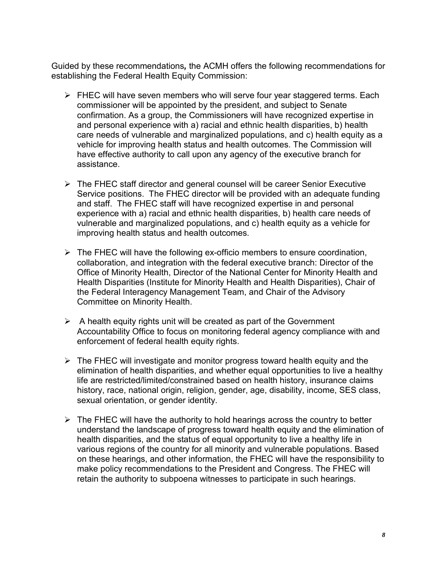Guided by these recommendations*,* the ACMH offers the following recommendations for establishing the Federal Health Equity Commission:

- $\triangleright$  FHEC will have seven members who will serve four year staggered terms. Each commissioner will be appointed by the president, and subject to Senate confirmation. As a group, the Commissioners will have recognized expertise in and personal experience with a) racial and ethnic health disparities, b) health care needs of vulnerable and marginalized populations, and c) health equity as a vehicle for improving health status and health outcomes. The Commission will have effective authority to call upon any agency of the executive branch for assistance.
- $\triangleright$  The FHEC staff director and general counsel will be career Senior Executive Service positions. The FHEC director will be provided with an adequate funding and staff. The FHEC staff will have recognized expertise in and personal experience with a) racial and ethnic health disparities, b) health care needs of vulnerable and marginalized populations, and c) health equity as a vehicle for improving health status and health outcomes.
- $\triangleright$  The FHEC will have the following ex-officio members to ensure coordination, collaboration, and integration with the federal executive branch: Director of the Office of Minority Health, Director of the National Center for Minority Health and Health Disparities (Institute for Minority Health and Health Disparities), Chair of the Federal Interagency Management Team, and Chair of the Advisory Committee on Minority Health.
- $\triangleright$  A health equity rights unit will be created as part of the Government Accountability Office to focus on monitoring federal agency compliance with and enforcement of federal health equity rights.
- $\triangleright$  The FHEC will investigate and monitor progress toward health equity and the elimination of health disparities, and whether equal opportunities to live a healthy life are restricted/limited/constrained based on health history, insurance claims history, race, national origin, religion, gender, age, disability, income, SES class, sexual orientation, or gender identity.
- $\triangleright$  The FHEC will have the authority to hold hearings across the country to better understand the landscape of progress toward health equity and the elimination of health disparities, and the status of equal opportunity to live a healthy life in various regions of the country for all minority and vulnerable populations. Based on these hearings, and other information, the FHEC will have the responsibility to make policy recommendations to the President and Congress. The FHEC will retain the authority to subpoena witnesses to participate in such hearings.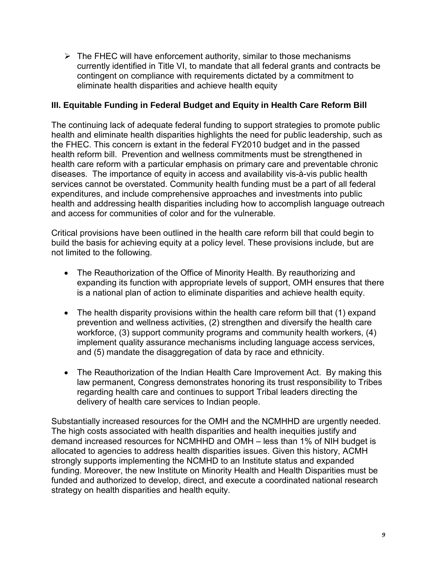<span id="page-14-0"></span> $\triangleright$  The FHEC will have enforcement authority, similar to those mechanisms currently identified in Title VI, to mandate that all federal grants and contracts be contingent on compliance with requirements dictated by a commitment to eliminate health disparities and achieve health equity

## **III. Equitable Funding in Federal Budget and Equity in Health Care Reform Bill**

The continuing lack of adequate federal funding to support strategies to promote public health and eliminate health disparities highlights the need for public leadership, such as the FHEC. This concern is extant in the federal FY2010 budget and in the passed health reform bill. Prevention and wellness commitments must be strengthened in health care reform with a particular emphasis on primary care and preventable chronic diseases. The importance of equity in access and availability vis-à-vis public health services cannot be overstated. Community health funding must be a part of all federal expenditures, and include comprehensive approaches and investments into public health and addressing health disparities including how to accomplish language outreach and access for communities of color and for the vulnerable.

Critical provisions have been outlined in the health care reform bill that could begin to build the basis for achieving equity at a policy level. These provisions include, but are not limited to the following.

- The Reauthorization of the Office of Minority Health. By reauthorizing and expanding its function with appropriate levels of support, OMH ensures that there is a national plan of action to eliminate disparities and achieve health equity.
- The health disparity provisions within the health care reform bill that (1) expand prevention and wellness activities, (2) strengthen and diversify the health care workforce, (3) support community programs and community health workers, (4) implement quality assurance mechanisms including language access services, and (5) mandate the disaggregation of data by race and ethnicity.
- The Reauthorization of the Indian Health Care Improvement Act. By making this law permanent, Congress demonstrates honoring its trust responsibility to Tribes regarding health care and continues to support Tribal leaders directing the delivery of health care services to Indian people.

Substantially increased resources for the OMH and the NCMHHD are urgently needed. The high costs associated with health disparities and health inequities justify and demand increased resources for NCMHHD and OMH – less than 1% of NIH budget is allocated to agencies to address health disparities issues. Given this history, ACMH strongly supports implementing the NCMHD to an Institute status and expanded funding. Moreover, the new Institute on Minority Health and Health Disparities must be funded and authorized to develop, direct, and execute a coordinated national research strategy on health disparities and health equity.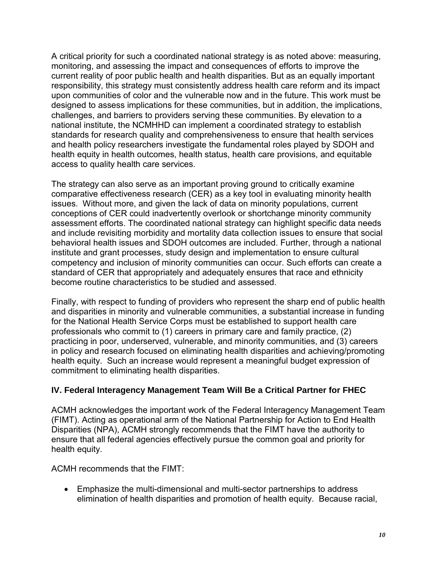<span id="page-15-0"></span>A critical priority for such a coordinated national strategy is as noted above: measuring, monitoring, and assessing the impact and consequences of efforts to improve the current reality of poor public health and health disparities. But as an equally important responsibility, this strategy must consistently address health care reform and its impact upon communities of color and the vulnerable now and in the future. This work must be designed to assess implications for these communities, but in addition, the implications, challenges, and barriers to providers serving these communities. By elevation to a national institute, the NCMHHD can implement a coordinated strategy to establish standards for research quality and comprehensiveness to ensure that health services and health policy researchers investigate the fundamental roles played by SDOH and health equity in health outcomes, health status, health care provisions, and equitable access to quality health care services.

The strategy can also serve as an important proving ground to critically examine comparative effectiveness research (CER) as a key tool in evaluating minority health issues. Without more, and given the lack of data on minority populations, current conceptions of CER could inadvertently overlook or shortchange minority community assessment efforts. The coordinated national strategy can highlight specific data needs and include revisiting morbidity and mortality data collection issues to ensure that social behavioral health issues and SDOH outcomes are included. Further, through a national institute and grant processes, study design and implementation to ensure cultural competency and inclusion of minority communities can occur. Such efforts can create a standard of CER that appropriately and adequately ensures that race and ethnicity become routine characteristics to be studied and assessed.

Finally, with respect to funding of providers who represent the sharp end of public health and disparities in minority and vulnerable communities, a substantial increase in funding for the National Health Service Corps must be established to support health care professionals who commit to (1) careers in primary care and family practice, (2) practicing in poor, underserved, vulnerable, and minority communities, and (3) careers in policy and research focused on eliminating health disparities and achieving/promoting health equity. Such an increase would represent a meaningful budget expression of commitment to eliminating health disparities.

## **IV. Federal Interagency Management Team Will Be a Critical Partner for FHEC**

ACMH acknowledges the important work of the Federal Interagency Management Team (FIMT). Acting as operational arm of the National Partnership for Action to End Health Disparities (NPA), ACMH strongly recommends that the FIMT have the authority to ensure that all federal agencies effectively pursue the common goal and priority for health equity.

ACMH recommends that the FIMT:

• Emphasize the multi-dimensional and multi-sector partnerships to address elimination of health disparities and promotion of health equity. Because racial,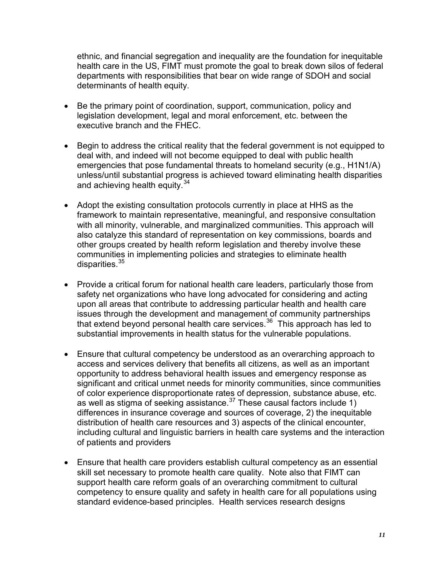ethnic, and financial segregation and inequality are the foundation for inequitable health care in the US, FIMT must promote the goal to break down silos of federal departments with responsibilities that bear on wide range of SDOH and social determinants of health equity.

- Be the primary point of coordination, support, communication, policy and legislation development, legal and moral enforcement, etc. between the executive branch and the FHEC.
- Begin to address the critical reality that the federal government is not equipped to deal with, and indeed will not become equipped to deal with public health emergencies that pose fundamental threats to homeland security (e.g., H1N1/A) unless/until substantial progress is achieved toward eliminating health disparities and achieving health equity.<sup>[34](#page-21-6)</sup>
- Adopt the existing consultation protocols currently in place at HHS as the framework to maintain representative, meaningful, and responsive consultation with all minority, vulnerable, and marginalized communities. This approach will also catalyze this standard of representation on key commissions, boards and other groups created by health reform legislation and thereby involve these communities in implementing policies and strategies to eliminate health disparities.<sup>35</sup>
- Provide a critical forum for national health care leaders, particularly those from safety net organizations who have long advocated for considering and acting upon all areas that contribute to addressing particular health and health care issues through the development and management of community partnerships that extend beyond personal health care services.[36](#page-21-8) This approach has led to substantial improvements in health status for the vulnerable populations.
- Ensure that cultural competency be understood as an overarching approach to access and services delivery that benefits all citizens, as well as an important opportunity to address behavioral health issues and emergency response as significant and critical unmet needs for minority communities, since communities of color experience disproportionate rates of depression, substance abuse, etc. as well as stigma of seeking assistance.<sup>[37](#page-21-9)</sup> These causal factors include 1) differences in insurance coverage and sources of coverage, 2) the inequitable distribution of health care resources and 3) aspects of the clinical encounter, including cultural and linguistic barriers in health care systems and the interaction of patients and providers
- Ensure that health care providers establish cultural competency as an essential skill set necessary to promote health care quality. Note also that FIMT can support health care reform goals of an overarching commitment to cultural competency to ensure quality and safety in health care for all populations using standard evidence-based principles. Health services research designs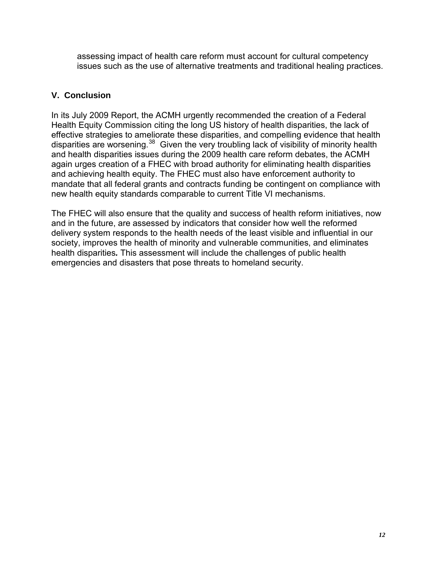<span id="page-17-0"></span>assessing impact of health care reform must account for cultural competency issues such as the use of alternative treatments and traditional healing practices.

## **V. Conclusion**

In its July 2009 Report, the ACMH urgently recommended the creation of a Federal Health Equity Commission citing the long US history of health disparities, the lack of effective strategies to ameliorate these disparities, and compelling evidence that health disparities are worsening.<sup>[38](#page-21-10)</sup> Given the very troubling lack of visibility of minority health and health disparities issues during the 2009 health care reform debates, the ACMH again urges creation of a FHEC with broad authority for eliminating health disparities and achieving health equity. The FHEC must also have enforcement authority to mandate that all federal grants and contracts funding be contingent on compliance with new health equity standards comparable to current Title VI mechanisms.

The FHEC will also ensure that the quality and success of health reform initiatives, now and in the future, are assessed by indicators that consider how well the reformed delivery system responds to the health needs of the least visible and influential in our society, improves the health of minority and vulnerable communities, and eliminates health disparities*.* This assessment will include the challenges of public health emergencies and disasters that pose threats to homeland security.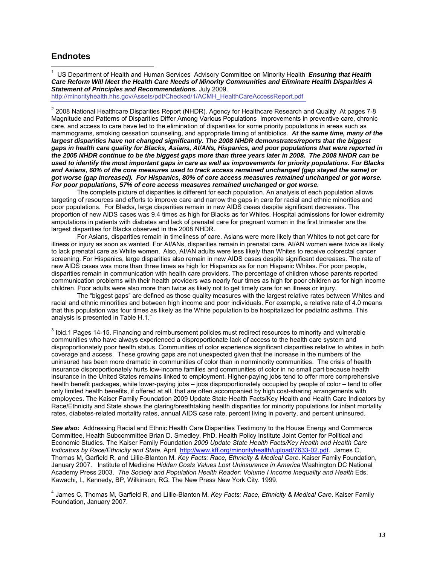### <span id="page-18-0"></span>**Endnotes**

<span id="page-18-1"></span> $\overline{\phantom{a}}$ 1 US Department of Health and Human Services Advisory Committee on Minority Health *Ensuring that Health Care Reform Will Meet the Health Care Needs of Minority Communities and Eliminate Health Disparities A Statement of Principles and Recommendations.* July 2009.

[http://minorityhealth.hhs.gov/Assets/pdf/Checked/1/ACMH\\_HealthCareAccessReport.pdf](http://minorityhealth.hhs.gov/Assets/pdf/Checked/1/ACMH_HealthCareAccessReport.pdf)

<span id="page-18-2"></span><sup>2</sup> 2008 National Healthcare Disparities Report (NHDR). Agency for Healthcare Research and Quality At pages 7-8 Magnitude and Patterns of Disparities Differ Among Various Populations Improvements in preventive care, chronic care, and access to care have led to the elimination of disparities for some priority populations in areas such as mammograms, smoking cessation counseling, and appropriate timing of antibiotics. *At the same time, many of the largest disparities have not changed significantly. The 2008 NHDR demonstrates/reports that the biggest gaps in health care quality for Blacks, Asians, AI/ANs, Hispanics, and poor populations that were reported in the 2005 NHDR continue to be the biggest gaps more than three years later in 2008. The 2008 NHDR can be used to identify the most important gaps in care as well as improvements for priority populations. For Blacks and Asians, 60% of the core measures used to track access remained unchanged (gap stayed the same) or got worse (gap increased). For Hispanics, 80% of core access measures remained unchanged or got worse. For poor populations, 57% of core access measures remained unchanged or got worse.*

The complete picture of disparities is different for each population. An analysis of each population allows targeting of resources and efforts to improve care and narrow the gaps in care for racial and ethnic minorities and poor populations. For Blacks, large disparities remain in new AIDS cases despite significant decreases. The proportion of new AIDS cases was 9.4 times as high for Blacks as for Whites. Hospital admissions for lower extremity amputations in patients with diabetes and lack of prenatal care for pregnant women in the first trimester are the largest disparities for Blacks observed in the 2008 NHDR.

For Asians, disparities remain in timeliness of care. Asians were more likely than Whites to not get care for illness or injury as soon as wanted. For AI/ANs, disparities remain in prenatal care. AI/AN women were twice as likely to lack prenatal care as White women. Also, AI/AN adults were less likely than Whites to receive colorectal cancer screening. For Hispanics, large disparities also remain in new AIDS cases despite significant decreases. The rate of new AIDS cases was more than three times as high for Hispanics as for non Hispanic Whites. For poor people, disparities remain in communication with health care providers. The percentage of children whose parents reported communication problems with their health providers was nearly four times as high for poor children as for high income children. Poor adults were also more than twice as likely not to get timely care for an illness or injury.

The "biggest gaps" are defined as those quality measures with the largest relative rates between Whites and racial and ethnic minorities and between high income and poor individuals. For example, a relative rate of 4.0 means that this population was four times as likely as the White population to be hospitalized for pediatric asthma. This analysis is presented in Table H.1."

<span id="page-18-3"></span><sup>3</sup> Ibid.1 Pages 14-15. Financing and reimbursement policies must redirect resources to minority and vulnerable communities who have always experienced a disproportionate lack of access to the health care system and disproportionately poor health status. Communities of color experience significant disparities relative to whites in both coverage and access. These growing gaps are not unexpected given that the increase in the numbers of the uninsured has been more dramatic in communities of color than in nonminority communities. The crisis of health insurance disproportionately hurts low-income families and communities of color in no small part because health insurance in the United States remains linked to employment. Higher-paying jobs tend to offer more comprehensive health benefit packages, while lower-paying jobs – jobs disproportionately occupied by people of color – tend to offer only limited health benefits, if offered at all, that are often accompanied by high cost-sharing arrangements with employees. The Kaiser Family Foundation 2009 Update State Health Facts/Key Health and Health Care Indicators by Race/Ethnicity and State shows the glaring/breathtaking health disparities for minority populations for infant mortality rates, diabetes-related mortality rates, annual AIDS case rate, percent living in poverty, and percent uninsured.

*See also:* Addressing Racial and Ethnic Health Care Disparities Testimony to the House Energy and Commerce Committee, Health Subcommittee Brian D. Smedley, PhD. Health Policy Institute Joint Center for Political and Economic Studies. The Kaiser Family Foundation *2009 Update State Health Facts/Key Health and Health Care Indicators by Race/Ethnicity and State*, April [http://www.kff.org/minorityhealth/upload/7633-02.pdf.](http://www.kff.org/minorityhealth/upload/7633-02.pdf) James C, Thomas M, Garfield R, and Lillie-Blanton M. *Key Facts: Race, Ethnicity & Medical Care*. Kaiser Family Foundation, January 2007. Institute of Medicine *Hidden Costs Values Lost Uninsurance in America* Washington DC National Academy Press 2003. *The Society and Population Health Reader: Volume I Income Inequality and Health* Eds. Kawachi, I., Kennedy, BP, Wilkinson, RG. The New Press New York City. 1999.

<span id="page-18-4"></span><sup>4</sup> James C, Thomas M, Garfield R, and Lillie-Blanton M. *Key Facts: Race, Ethnicity & Medical Care*. Kaiser Family Foundation, January 2007.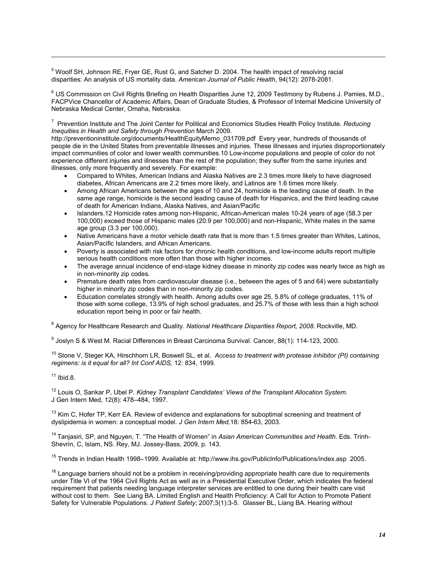<span id="page-19-0"></span><sup>5</sup> Woolf SH, Johnson RE, Fryer GE, Rust G, and Satcher D, 2004. The health impact of resolving racial disparities: An analysis of US mortality data. *American Journal of Public Health*, 94(12): 2078-2081.

<span id="page-19-1"></span><sup>6</sup> US Commission on Civil Rights Briefing on Health Disparities June 12, 2009 Testimony by Rubens J. Pamies, M.D., FACPVice Chancellor of Academic Affairs, Dean of Graduate Studies, & Professor of Internal Medicine University of Nebraska Medical Center, Omaha, Nebraska.

<span id="page-19-2"></span>7 Prevention Institute and The Joint Center for Political and Economics Studies Health Policy Institute*. Reducing Inequities in Health and Safety through Prevention* March 2009.

http://preventioninstitute.org/documents/HealthEquityMemo\_031709.pdf Every year, hundreds of thousands of people die in the United States from preventable illnesses and injuries. These illnesses and injuries disproportionately impact communities of color and lower wealth communities.10 Low-income populations and people of color do not experience different injuries and illnesses than the rest of the population; they suffer from the same injuries and illnesses, only more frequently and severely. For example:

- Compared to Whites, American Indians and Alaska Natives are 2.3 times more likely to have diagnosed diabetes, African Americans are 2.2 times more likely, and Latinos are 1.6 times more likely.
- Among African Americans between the ages of 10 and 24, homicide is the leading cause of death. In the same age range, homicide is the second leading cause of death for Hispanics, and the third leading cause of death for American Indians, Alaska Natives, and Asian/Pacific
- Islanders.12 Homicide rates among non-Hispanic, African-American males 10-24 years of age (58.3 per 100,000) exceed those of Hispanic males (20.9 per 100,000) and non-Hispanic, White males in the same age group (3.3 per 100,000).
- Native Americans have a motor vehicle death rate that is more than 1.5 times greater than Whites, Latinos, Asian/Pacific Islanders, and African Americans.
- Poverty is associated with risk factors for chronic health conditions, and low-income adults report multiple serious health conditions more often than those with higher incomes.
- The average annual incidence of end-stage kidney disease in minority zip codes was nearly twice as high as in non-minority zip codes.
- Premature death rates from cardiovascular disease (i.e., between the ages of 5 and 64) were substantially higher in minority zip codes than in non-minority zip codes.
- Education correlates strongly with health. Among adults over age 25, 5.8% of college graduates, 11% of those with some college, 13.9% of high school graduates, and 25.7% of those with less than a high school education report being in poor or fair health.

<span id="page-19-3"></span><sup>8</sup> Agency for Healthcare Research and Quality*. National Healthcare Disparities Report, 2008*. Rockville, MD.

<span id="page-19-4"></span><sup>9</sup> Joslyn S & West M. Racial Differences in Breast Carcinoma Survival. Cancer, 88(1): 114-123, 2000.

<span id="page-19-5"></span><sup>10</sup> Stone V, Steger KA, Hirschhorn LR, Boswell SL, et al. *Access to treatment with protease inhibitor (PI) containing regimens: is it equal for all? Int Conf AIDS,* 12: 834, 1999.

<span id="page-19-6"></span> $11$  Ibid.8.

 $\overline{a}$ 

<span id="page-19-7"></span><sup>12</sup> Louis O, Sankar P, Ubel P. *Kidney Transplant Candidates' Views of the Transplant Allocation System*. J Gen Intern Med, 12(8): 478–484, 1997.

<span id="page-19-8"></span> $13$  Kim C, Hofer TP, Kerr EA. Review of evidence and explanations for suboptimal screening and treatment of dyslipidemia in women: a conceptual model. *J Gen Intern Med,*18: 854-63, 2003.

<span id="page-19-9"></span><sup>14</sup> Tanjasiri, SP, and Nguyen, T. "The Health of Women" in *Asian American Communities and Health*. Eds. Trinh-Shevrin, C, Islam, NS. Rey, MJ. Jossey-Bass, 2009, p. 143.

<span id="page-19-10"></span><sup>15</sup> Trends in Indian Health 1998–1999. Available at: http://www.ihs.gov/PublicInfo/Publications/index.asp 2005.

<span id="page-19-11"></span> $16$  Language barriers should not be a problem in receiving/providing appropriate health care due to requirements under Title VI of the 1964 Civil Rights Act as well as in a Presidential Executive Order, which indicates the federal requirement that patients needing language interpreter services are entitled to one during their health care visit without cost to them. See Liang BA. Limited English and Health Proficiency: A Call for Action to Promote Patient Safety for Vulnerable Populations*. J Patient Safety*; 2007;3(1):3-5. Glasser BL, Liang BA. Hearing without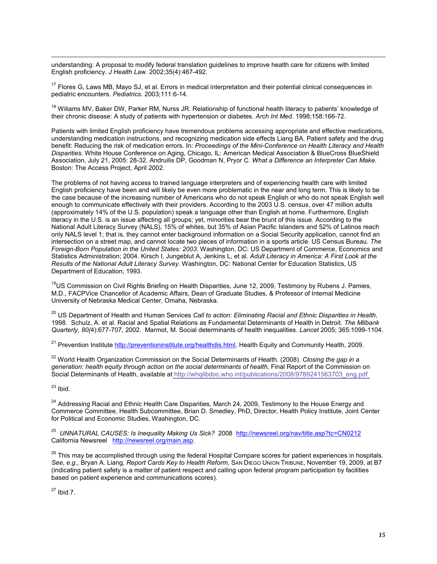understanding: A proposal to modify federal translation guidelines to improve health care for citizens with limited English proficiency. *J Health Law.* 2002;35(4):467-492.

<span id="page-20-0"></span><sup>17</sup> Flores G, Laws MB, Mayo SJ, et al. Errors in medical interpretation and their potential clinical consequences in pediatric encounters. *Pediatrics*. 2003;111:6-14.

<span id="page-20-1"></span><sup>18</sup> Wiliams MV, Baker DW, Parker RM, Nurss JR. Relationship of functional health literacy to patients' knowledge of their chronic disease: A study of patients with hypertension or diabetes. *Arch Int Med*. 1998;158:166-72.

Patients with limited English proficiency have tremendous problems accessing appropriate and effective medications, understanding medication instructions, and recognizing medication side effects Liang BA. Patient safety and the drug benefit: Reducing the risk of medication errors. In: *Proceedings of the Mini-Conference on Health Literacy and Health Disparities.* White House Conference on Aging, Chicago, IL: American Medical Association & BlueCross BlueShield Association, July 21, 2005: 28-32. Andruilis DP, Goodman N, Pryor C. *What a Difference an Interpreter Can Make*. Boston: The Access Project, April 2002.

The problems of not having access to trained language interpreters and of experiencing health care with limited English proficiency have been and will likely be even more problematic in the near and long term. This is likely to be the case because of the increasing number of Americans who do not speak English or who do not speak English well enough to communicate effectively with their providers. According to the 2003 U.S. census, over 47 million adults (approximately 14% of the U.S. population) speak a language other than English at home. Furthermore, English literacy in the U.S. is an issue affecting all groups; yet, minorities bear the brunt of this issue. According to the National Adult Literacy Survey (NALS), 15% of whites, but 35% of Asian Pacific Islanders and 52% of Latinos reach only NALS level 1; that is, they cannot enter background information on a Social Security application, cannot find an intersection on a street map, and cannot locate two pieces of information in a sports article. US Census Bureau. *The Foreign-Born Population in the United States: 2003*. Washington, DC: US Department of Commerce, Economics and Statistics Administration; 2004. Kirsch I, Jungeblut A, Jenkins L, et al. *Adult Literacy in America: A First Look at the Results of the National Adult Literacy Survey.* Washington, DC: National Center for Education Statistics, US Department of Education; 1993.

<span id="page-20-2"></span><sup>19</sup>US Commission on Civil Rights Briefing on Health Disparities, June 12, 2009, Testimony by Rubens J. Pamies, M.D., FACPVice Chancellor of Academic Affairs, Dean of Graduate Studies, & Professor of Internal Medicine University of Nebraska Medical Center, Omaha, Nebraska.

<span id="page-20-3"></span> <sup>20</sup> US Department of Health and Human Services *Call to action: Eliminating Racial and Ethnic Disparities in Health,* 1998. Schulz, A. et al. Racial and Spatial Relations as Fundamental Determinants of Health in Detroit. *The Milbank Quarterly, 80(*4):677-707, 2002. Marmot, M. Social determinants of health inequalities. *Lancet* 2005; 365:1099-1104.

<span id="page-20-4"></span><sup>21</sup> Prevention Institut[e http://preventioninstitute.org/healthdis.html,](http://preventioninstitute.org/healthdis.html) Health Equity and Community Health, 2009.

<span id="page-20-5"></span><sup>22</sup> World Health Organization Commission on the Social Determinants of Health. (2008). *Closing the gap in a generation: health equity through action on the social determinants of health,* Final Report of the Commission on Social Determinants of Health, available at http://whqlibdoc.who.int/publications/2008/9789241563703\_enq.pdf

<span id="page-20-6"></span> $23$  Ibid.

 $\overline{a}$ 

<span id="page-20-7"></span><sup>24</sup> Addressing Racial and Ethnic Health Care Disparities, March 24, 2009, Testimony to the House Energy and Commerce Committee, Health Subcommittee, Brian D. Smedley, PhD, Director, Health Policy Institute, Joint Center for Political and Economic Studies, Washington, DC.

<span id="page-20-8"></span>25 *UNNATURAL CAUSES: Is Inequality Making Us Sick?* 2008 <http://newsreel.org/nav/title.asp?tc=CN0212> California Newsreel [http://newsreel.org/main.asp.](http://newsreel.org/main.asp)

<span id="page-20-9"></span><sup>26</sup> This may be accomplished through using the federal Hospital Compare scores for patient experiences in hospitals. *See, e.g.,* Bryan A. Liang, *Report Cards Key to Health Reform,* SAN DIEGO UNION TRIBUNE, November 19, 2009, at B7 (indicating patient safety is a matter of patient respect and calling upon federal program participation by facilities based on patient experience and communications scores).

<span id="page-20-10"></span> $27$  Ibid.7.